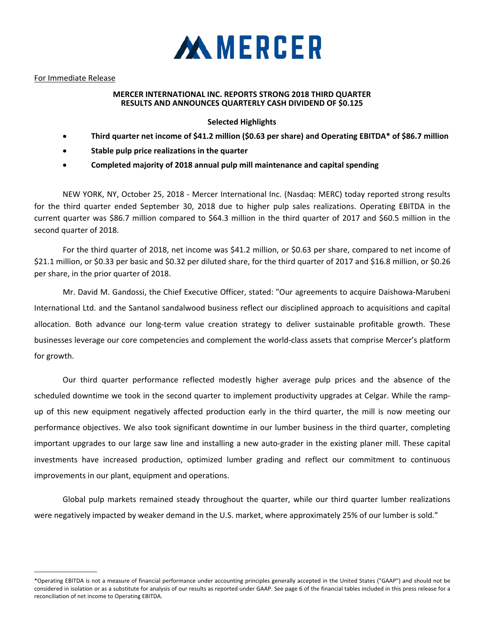

## For Immediate Release

 $\_$ 

## **MERCER INTERNATIONAL INC. REPORTS STRONG 2018 THIRD QUARTER RESULTS AND ANNOUNCES QUARTERLY CASH DIVIDEND OF \$0.125**

# **Selected Highlights**

- **Third quarter net income of \$41.2 million (\$0.63 per share) and Operating EBITDA\* of \$86.7 million**
- **Stable pulp price realizations in the quarter**
- **Completed majority of 2018 annual pulp mill maintenance and capital spending**

NEW YORK, NY, October 25, 2018 ‐ Mercer International Inc. (Nasdaq: MERC) today reported strong results for the third quarter ended September 30, 2018 due to higher pulp sales realizations. Operating EBITDA in the current quarter was \$86.7 million compared to \$64.3 million in the third quarter of 2017 and \$60.5 million in the second quarter of 2018.

For the third quarter of 2018, net income was \$41.2 million, or \$0.63 per share, compared to net income of \$21.1 million, or \$0.33 per basic and \$0.32 per diluted share, for the third quarter of 2017 and \$16.8 million, or \$0.26 per share, in the prior quarter of 2018.

Mr. David M. Gandossi, the Chief Executive Officer, stated: "Our agreements to acquire Daishowa‐Marubeni International Ltd. and the Santanol sandalwood business reflect our disciplined approach to acquisitions and capital allocation. Both advance our long‐term value creation strategy to deliver sustainable profitable growth. These businesses leverage our core competencies and complement the world‐class assets that comprise Mercer's platform for growth.

Our third quarter performance reflected modestly higher average pulp prices and the absence of the scheduled downtime we took in the second quarter to implement productivity upgrades at Celgar. While the rampup of this new equipment negatively affected production early in the third quarter, the mill is now meeting our performance objectives. We also took significant downtime in our lumber business in the third quarter, completing important upgrades to our large saw line and installing a new auto‐grader in the existing planer mill. These capital investments have increased production, optimized lumber grading and reflect our commitment to continuous improvements in our plant, equipment and operations.

Global pulp markets remained steady throughout the quarter, while our third quarter lumber realizations were negatively impacted by weaker demand in the U.S. market, where approximately 25% of our lumber is sold."

<sup>\*</sup>Operating EBITDA is not a measure of financial performance under accounting principles generally accepted in the United States ("GAAP") and should not be considered in isolation or as a substitute for analysis of our results as reported under GAAP. See page 6 of the financial tables included in this press release for a reconciliation of net income to Operating EBITDA.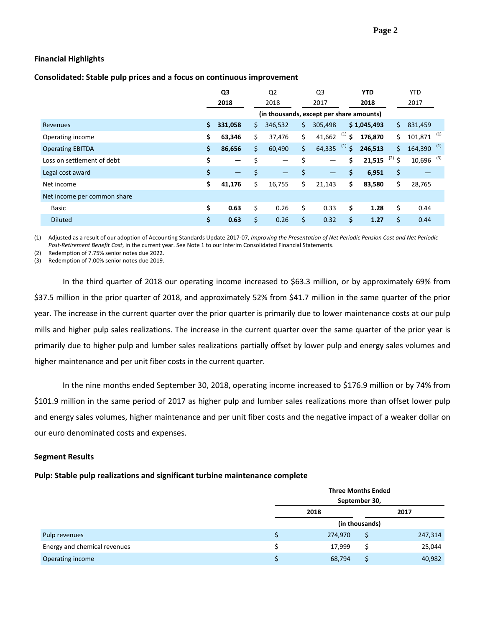## **Financial Highlights**

### **Consolidated: Stable pulp prices and a focus on continuous improvement**

|                             |     | Q3                           |     | Q <sub>2</sub>                           |     | Q <sub>3</sub>    |             | <b>YTD</b>  |          | <b>YTD</b>               |  |
|-----------------------------|-----|------------------------------|-----|------------------------------------------|-----|-------------------|-------------|-------------|----------|--------------------------|--|
|                             |     | 2018                         |     | 2018                                     |     | 2017              |             | 2018        |          | 2017                     |  |
|                             |     |                              |     | (in thousands, except per share amounts) |     |                   |             |             |          |                          |  |
| Revenues                    | \$. | 331,058                      | \$. | 346,532                                  | S.  | 305,498           |             | \$1,045,493 | \$.      | 831,459                  |  |
| Operating income            | \$  | 63,346                       | \$  | 37,476                                   | Ś.  | 41,662            | $^{(1)}$ \$ | 176.870     | \$       | $101,871$ <sup>(1)</sup> |  |
| <b>Operating EBITDA</b>     | \$. | 86,656                       | \$. | 60,490                                   | \$  | 64,335            | $(1)$ \$    | 246,513     | \$       | $164,390$ <sup>(1)</sup> |  |
| Loss on settlement of debt  | \$  | $\qquad \qquad$              | \$  | $\overline{\phantom{0}}$                 | \$  | —                 | \$          | 21,515      | $(2)$ \$ | $10,696$ <sup>(3)</sup>  |  |
| Legal cost award            | \$  | $\qquad \qquad \blacksquare$ | \$  | —                                        | \$  | $\qquad \qquad -$ | \$          | 6,951       | \$       |                          |  |
| Net income                  | \$  | 41,176                       | \$  | 16,755                                   | \$. | 21,143            | \$          | 83,580      | \$       | 28,765                   |  |
| Net income per common share |     |                              |     |                                          |     |                   |             |             |          |                          |  |
| Basic                       | \$  | 0.63                         | \$  | 0.26                                     | \$  | 0.33              | \$          | 1.28        | \$       | 0.44                     |  |
| <b>Diluted</b>              | \$  | 0.63                         | \$  | 0.26                                     | \$  | 0.32              | \$          | 1.27        | \$       | 0.44                     |  |

(1) Adjusted as a result of our adoption of Accounting Standards Update 2017-07, Improving the Presentation of Net Periodic Pension Cost and Net Periodic *Post‐Retirement Benefit Cost*, in the current year. See Note 1 to our Interim Consolidated Financial Statements.

(2) Redemption of 7.75% senior notes due 2022.

(3) Redemption of 7.00% senior notes due 2019.

In the third quarter of 2018 our operating income increased to \$63.3 million, or by approximately 69% from \$37.5 million in the prior quarter of 2018, and approximately 52% from \$41.7 million in the same quarter of the prior year. The increase in the current quarter over the prior quarter is primarily due to lower maintenance costs at our pulp mills and higher pulp sales realizations. The increase in the current quarter over the same quarter of the prior year is primarily due to higher pulp and lumber sales realizations partially offset by lower pulp and energy sales volumes and higher maintenance and per unit fiber costs in the current quarter.

In the nine months ended September 30, 2018, operating income increased to \$176.9 million or by 74% from \$101.9 million in the same period of 2017 as higher pulp and lumber sales realizations more than offset lower pulp and energy sales volumes, higher maintenance and per unit fiber costs and the negative impact of a weaker dollar on our euro denominated costs and expenses.

### **Segment Results**

### **Pulp: Stable pulp realizations and significant turbine maintenance complete**

|                              |   | <b>Three Months Ended</b><br>September 30, |                |         |  |  |  |  |
|------------------------------|---|--------------------------------------------|----------------|---------|--|--|--|--|
|                              |   |                                            |                |         |  |  |  |  |
|                              |   | 2018                                       |                | 2017    |  |  |  |  |
|                              |   |                                            | (in thousands) |         |  |  |  |  |
| Pulp revenues                |   | 274,970                                    | S              | 247,314 |  |  |  |  |
| Energy and chemical revenues | S | 17,999                                     |                | 25,044  |  |  |  |  |
| Operating income             |   | 68,794                                     |                | 40,982  |  |  |  |  |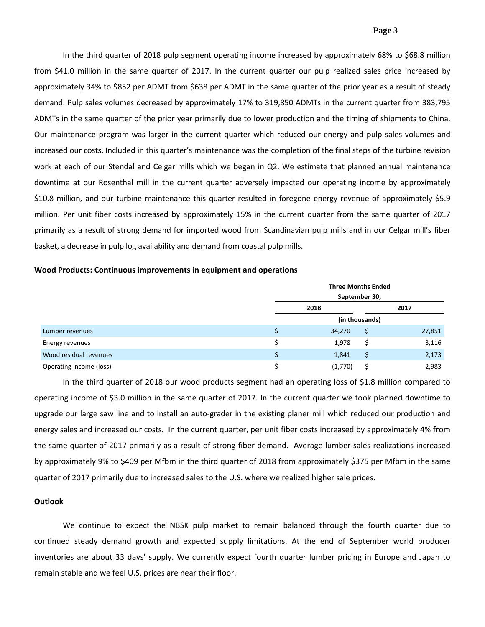### **Page 3**

In the third quarter of 2018 pulp segment operating income increased by approximately 68% to \$68.8 million from \$41.0 million in the same quarter of 2017. In the current quarter our pulp realized sales price increased by approximately 34% to \$852 per ADMT from \$638 per ADMT in the same quarter of the prior year as a result of steady demand. Pulp sales volumes decreased by approximately 17% to 319,850 ADMTs in the current quarter from 383,795 ADMTs in the same quarter of the prior year primarily due to lower production and the timing of shipments to China. Our maintenance program was larger in the current quarter which reduced our energy and pulp sales volumes and increased our costs. Included in this quarter's maintenance was the completion of the final steps of the turbine revision work at each of our Stendal and Celgar mills which we began in Q2. We estimate that planned annual maintenance downtime at our Rosenthal mill in the current quarter adversely impacted our operating income by approximately \$10.8 million, and our turbine maintenance this quarter resulted in foregone energy revenue of approximately \$5.9 million. Per unit fiber costs increased by approximately 15% in the current quarter from the same quarter of 2017 primarily as a result of strong demand for imported wood from Scandinavian pulp mills and in our Celgar mill's fiber basket, a decrease in pulp log availability and demand from coastal pulp mills.

### **Wood Products: Continuous improvements in equipment and operations**

|                         | <b>Three Months Ended</b><br>September 30, |                |        |  |  |  |  |
|-------------------------|--------------------------------------------|----------------|--------|--|--|--|--|
|                         | 2018                                       | 2017           |        |  |  |  |  |
|                         |                                            | (in thousands) |        |  |  |  |  |
| Lumber revenues         | 34,270                                     | \$             | 27,851 |  |  |  |  |
| Energy revenues         | 1,978                                      | \$             | 3,116  |  |  |  |  |
| Wood residual revenues  | 1,841                                      | \$             | 2,173  |  |  |  |  |
| Operating income (loss) | (1,770)                                    |                | 2,983  |  |  |  |  |

In the third quarter of 2018 our wood products segment had an operating loss of \$1.8 million compared to operating income of \$3.0 million in the same quarter of 2017. In the current quarter we took planned downtime to upgrade our large saw line and to install an auto‐grader in the existing planer mill which reduced our production and energy sales and increased our costs. In the current quarter, per unit fiber costs increased by approximately 4% from the same quarter of 2017 primarily as a result of strong fiber demand. Average lumber sales realizations increased by approximately 9% to \$409 per Mfbm in the third quarter of 2018 from approximately \$375 per Mfbm in the same quarter of 2017 primarily due to increased sales to the U.S. where we realized higher sale prices.

#### **Outlook**

We continue to expect the NBSK pulp market to remain balanced through the fourth quarter due to continued steady demand growth and expected supply limitations. At the end of September world producer inventories are about 33 days' supply. We currently expect fourth quarter lumber pricing in Europe and Japan to remain stable and we feel U.S. prices are near their floor.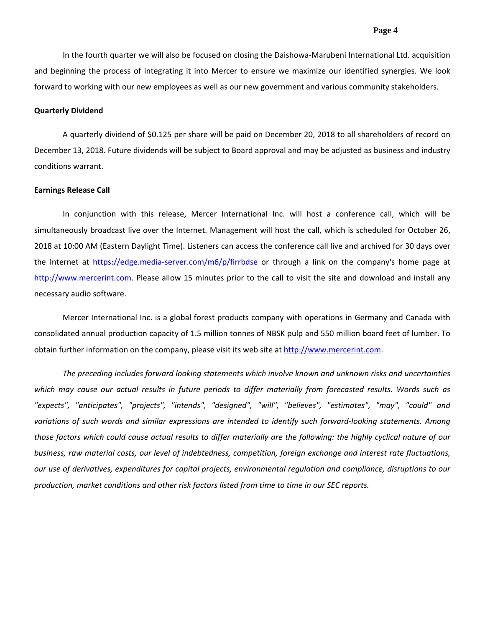In the fourth quarter we will also be focused on closing the Daishowa‐Marubeni International Ltd. acquisition and beginning the process of integrating it into Mercer to ensure we maximize our identified synergies. We look forward to working with our new employees as well as our new government and various community stakeholders.

#### **Quarterly Dividend**

A quarterly dividend of \$0.125 per share will be paid on December 20, 2018 to all shareholders of record on December 13, 2018. Future dividends will be subject to Board approval and may be adjusted as business and industry conditions warrant.

#### **Earnings Release Call**

In conjunction with this release, Mercer International Inc. will host a conference call, which will be simultaneously broadcast live over the Internet. Management will host the call, which is scheduled for October 26, 2018 at 10:00 AM (Eastern Daylight Time). Listeners can access the conference call live and archived for 30 days over the Internet at https://edge.media-server.com/m6/p/firrbdse or through a link on the company's home page at http://www.mercerint.com. Please allow 15 minutes prior to the call to visit the site and download and install any necessary audio software.

Mercer International Inc. is a global forest products company with operations in Germany and Canada with consolidated annual production capacity of 1.5 million tonnes of NBSK pulp and 550 million board feet of lumber. To obtain further information on the company, please visit its web site at http://www.mercerint.com.

*The preceding includes forward looking statements which involve known and unknown risks and uncertainties* which may cause our actual results in future periods to differ materially from forecasted results. Words such as *"expects", "anticipates", "projects", "intends", "designed", "will", "believes", "estimates", "may", "could" and* variations of such words and similar expressions are intended to identify such forward-looking statements. Among those factors which could cause actual results to differ materially are the following: the highly cyclical nature of our *business, raw material costs, our level of indebtedness, competition, foreign exchange and interest rate fluctuations, our use of derivatives, expenditures for capital projects, environmental regulation and compliance, disruptions to our production, market conditions and other risk factors listed from time to time in our SEC reports.*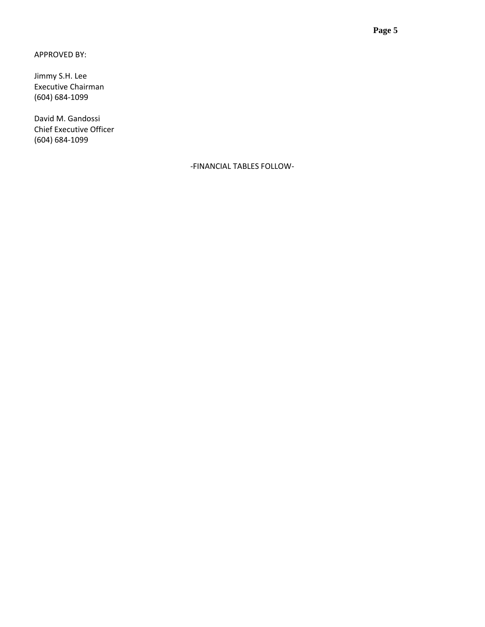APPROVED BY:

Jimmy S.H. Lee Executive Chairman (604) 684‐1099

David M. Gandossi Chief Executive Officer (604) 684‐1099

‐FINANCIAL TABLES FOLLOW‐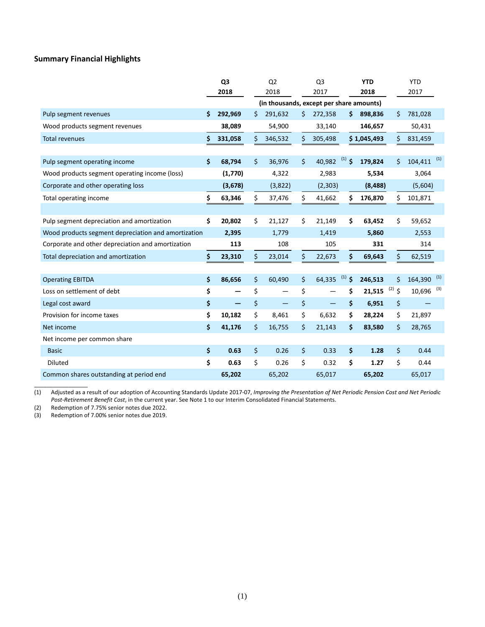## **Summary Financial Highlights**

|                                                     |    | Q <sub>3</sub> | Q <sub>2</sub> | Q <sub>3</sub> |          | <b>YTD</b>                               |                | <b>YTD</b>               |     |
|-----------------------------------------------------|----|----------------|----------------|----------------|----------|------------------------------------------|----------------|--------------------------|-----|
|                                                     |    | 2018           | 2018           | 2017           |          | 2018                                     |                | 2017                     |     |
|                                                     |    |                |                |                |          | (in thousands, except per share amounts) |                |                          |     |
| Pulp segment revenues                               | \$ | 292,969        | \$<br>291,632  | \$<br>272,358  |          | 898,836<br>\$                            | \$             | 781,028                  |     |
| Wood products segment revenues                      |    | 38,089         | 54,900         | 33,140         |          | 146,657                                  |                | 50,431                   |     |
| Total revenues                                      | S  | 331,058        | \$<br>346,532  | \$<br>305,498  |          | \$1,045,493                              | \$             | 831,459                  |     |
|                                                     |    |                |                |                |          |                                          |                |                          |     |
| Pulp segment operating income                       | \$ | 68,794         | \$<br>36,976   | \$<br>40,982   | $(1)$ \$ | 179,824                                  | \$             | 104,411                  | (1) |
| Wood products segment operating income (loss)       |    | (1,770)        | 4,322          | 2,983          |          | 5,534                                    |                | 3,064                    |     |
| Corporate and other operating loss                  |    | (3,678)        | (3,822)        | (2,303)        |          | (8, 488)                                 |                | (5,604)                  |     |
| Total operating income                              | \$ | 63,346         | \$<br>37,476   | \$<br>41,662   |          | \$<br>176,870                            | \$             | 101,871                  |     |
|                                                     |    |                |                |                |          |                                          |                |                          |     |
| Pulp segment depreciation and amortization          | Ś. | 20,802         | \$<br>21,127   | \$<br>21,149   |          | \$<br>63,452                             | \$             | 59,652                   |     |
| Wood products segment depreciation and amortization |    | 2,395          | 1,779          | 1,419          |          | 5,860                                    |                | 2,553                    |     |
| Corporate and other depreciation and amortization   |    | 113            | 108            | 105            |          | 331                                      |                | 314                      |     |
| Total depreciation and amortization                 | \$ | 23,310         | \$<br>23,014   | \$<br>22,673   |          | \$<br>69,643                             | \$             | 62,519                   |     |
|                                                     |    |                |                |                |          |                                          |                |                          |     |
| <b>Operating EBITDA</b>                             | \$ | 86,656         | \$<br>60,490   | \$<br>64,335   | (1)      | $\ddot{\bm{\zeta}}$<br>246,513           | \$             | $164,390$ <sup>(1)</sup> |     |
| Loss on settlement of debt                          | \$ |                | \$             | \$             |          | 21,515<br>\$                             | (2)<br>$\zeta$ | $10,696$ <sup>(3)</sup>  |     |
| Legal cost award                                    | \$ |                | \$             | \$<br>—        |          | \$<br>6,951                              | \$             |                          |     |
| Provision for income taxes                          | \$ | 10,182         | \$<br>8,461    | \$<br>6,632    |          | \$<br>28,224                             | \$             | 21,897                   |     |
| Net income                                          | \$ | 41,176         | \$<br>16,755   | \$<br>21,143   |          | \$<br>83,580                             | \$             | 28,765                   |     |
| Net income per common share                         |    |                |                |                |          |                                          |                |                          |     |
| <b>Basic</b>                                        | \$ | 0.63           | \$<br>0.26     | \$<br>0.33     |          | \$<br>1.28                               | \$             | 0.44                     |     |
| <b>Diluted</b>                                      | \$ | 0.63           | \$<br>0.26     | \$<br>0.32     |          | \$<br>1.27                               | \$             | 0.44                     |     |
| Common shares outstanding at period end             |    | 65,202         | 65,202         | 65,017         |          | 65,202                                   |                | 65,017                   |     |

(1) Adjusted as a result of our adoption of Accounting Standards Update 2017-07, Improving the Presentation of Net Periodic Pension Cost and Net Periodic *Post‐Retirement Benefit Cost*, in the current year. See Note 1 to our Interim Consolidated Financial Statements.

\_\_\_\_\_\_\_\_\_\_\_\_\_\_\_\_\_

(2) Redemption of 7.75% senior notes due 2022.<br>(3) Redemption of 7.00% senior notes due 2019. Redemption of 7.00% senior notes due 2019.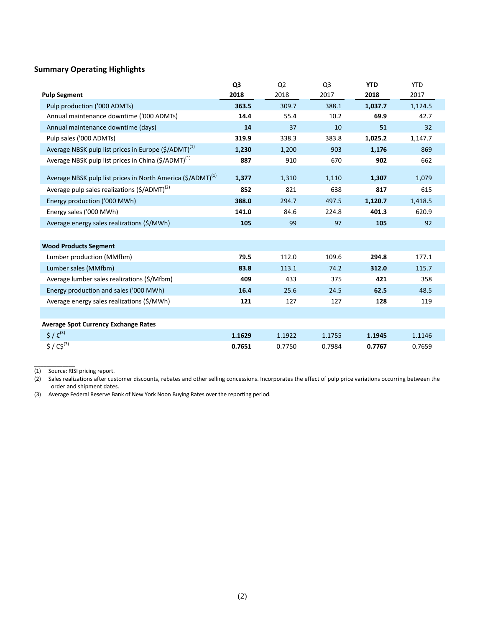# **Summary Operating Highlights**

|                                                                         | Q <sub>3</sub> | Q <sub>2</sub> | Q <sub>3</sub> | <b>YTD</b> | <b>YTD</b> |
|-------------------------------------------------------------------------|----------------|----------------|----------------|------------|------------|
| <b>Pulp Segment</b>                                                     | 2018           | 2018           | 2017           | 2018       | 2017       |
| Pulp production ('000 ADMTs)                                            | 363.5          | 309.7          | 388.1          | 1,037.7    | 1,124.5    |
| Annual maintenance downtime ('000 ADMTs)                                | 14.4           | 55.4           | 10.2           | 69.9       | 42.7       |
| Annual maintenance downtime (days)                                      | 14             | 37             | 10             | 51         | 32         |
| Pulp sales ('000 ADMTs)                                                 | 319.9          | 338.3          | 383.8          | 1,025.2    | 1,147.7    |
| Average NBSK pulp list prices in Europe (\$/ADMT) <sup>(1)</sup>        | 1,230          | 1,200          | 903            | 1,176      | 869        |
| Average NBSK pulp list prices in China (\$/ADMT) <sup>(1)</sup>         | 887            | 910            | 670            | 902        | 662        |
|                                                                         |                |                |                |            |            |
| Average NBSK pulp list prices in North America (\$/ADMT) <sup>(1)</sup> | 1,377          | 1,310          | 1,110          | 1,307      | 1,079      |
| Average pulp sales realizations (\$/ADMT) <sup>(2)</sup>                | 852            | 821            | 638            | 817        | 615        |
| Energy production ('000 MWh)                                            | 388.0          | 294.7          | 497.5          | 1,120.7    | 1,418.5    |
| Energy sales ('000 MWh)                                                 | 141.0          | 84.6           | 224.8          | 401.3      | 620.9      |
| Average energy sales realizations (\$/MWh)                              | 105            | 99             | 97             | 105        | 92         |
|                                                                         |                |                |                |            |            |
| <b>Wood Products Segment</b>                                            |                |                |                |            |            |
| Lumber production (MMfbm)                                               | 79.5           | 112.0          | 109.6          | 294.8      | 177.1      |
| Lumber sales (MMfbm)                                                    | 83.8           | 113.1          | 74.2           | 312.0      | 115.7      |
| Average lumber sales realizations (\$/Mfbm)                             | 409            | 433            | 375            | 421        | 358        |
| Energy production and sales ('000 MWh)                                  | 16.4           | 25.6           | 24.5           | 62.5       | 48.5       |
| Average energy sales realizations (\$/MWh)                              | 121            | 127            | 127            | 128        | 119        |
|                                                                         |                |                |                |            |            |
| <b>Average Spot Currency Exchange Rates</b>                             |                |                |                |            |            |
| $5/6^{(3)}$                                                             | 1.1629         | 1.1922         | 1.1755         | 1.1945     | 1.1146     |
| $$ / C$^{(3)}$                                                          | 0.7651         | 0.7750         | 0.7984         | 0.7767     | 0.7659     |

(1) Source: RISI pricing report.

\_\_\_\_\_\_\_\_\_\_\_\_\_

(2) Sales realizations after customer discounts, rebates and other selling concessions. Incorporates the effect of pulp price variations occurring between the order and shipment dates.

(3) Average Federal Reserve Bank of New York Noon Buying Rates over the reporting period.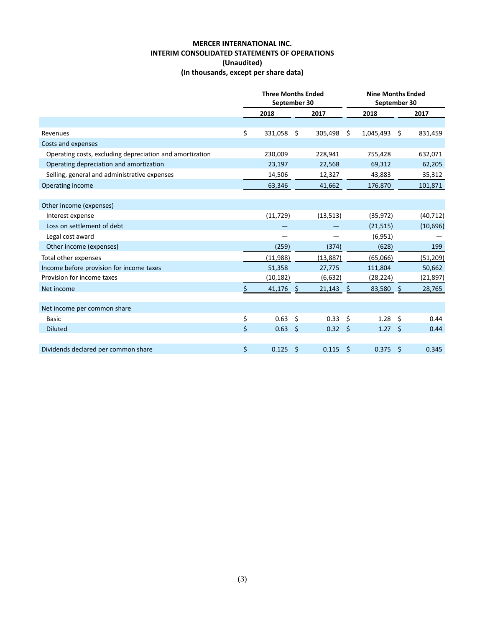## **MERCER INTERNATIONAL INC. INTERIM CONSOLIDATED STATEMENTS OF OPERATIONS (Unaudited) (In thousands, except per share data)**

|                                                          |      | <b>Three Months Ended</b><br>September 30 |      |                   | <b>Nine Months Ended</b><br>September 30 |                 |                    |           |
|----------------------------------------------------------|------|-------------------------------------------|------|-------------------|------------------------------------------|-----------------|--------------------|-----------|
|                                                          | 2018 |                                           | 2017 |                   | 2018                                     |                 |                    | 2017      |
|                                                          |      |                                           |      |                   |                                          |                 |                    |           |
| Revenues                                                 | \$   | 331,058                                   | Ŝ.   | 305,498 \$        |                                          | 1,045,493       | Ŝ.                 | 831,459   |
| Costs and expenses                                       |      |                                           |      |                   |                                          |                 |                    |           |
| Operating costs, excluding depreciation and amortization |      | 230,009                                   |      | 228,941           |                                          | 755,428         |                    | 632,071   |
| Operating depreciation and amortization                  |      | 23,197                                    |      | 22,568            |                                          | 69,312          |                    | 62,205    |
| Selling, general and administrative expenses             |      | 14,506                                    |      | 12,327            |                                          | 43,883          |                    | 35,312    |
| Operating income                                         |      | 63,346                                    |      | 41,662            |                                          | 176,870         |                    | 101,871   |
|                                                          |      |                                           |      |                   |                                          |                 |                    |           |
| Other income (expenses)                                  |      |                                           |      |                   |                                          |                 |                    |           |
| Interest expense                                         |      | (11, 729)                                 |      | (13, 513)         |                                          | (35, 972)       |                    | (40, 712) |
| Loss on settlement of debt                               |      |                                           |      |                   |                                          | (21, 515)       |                    | (10,696)  |
| Legal cost award                                         |      |                                           |      |                   |                                          | (6, 951)        |                    |           |
| Other income (expenses)                                  |      | (259)                                     |      | (374)             |                                          | (628)           |                    | 199       |
| Total other expenses                                     |      | (11,988)                                  |      | (13,887)          |                                          | (65,066)        |                    | (51,209)  |
| Income before provision for income taxes                 |      | 51,358                                    |      | 27,775            |                                          | 111,804         |                    | 50,662    |
| Provision for income taxes                               |      | (10, 182)                                 |      | (6,632)           |                                          | (28, 224)       |                    | (21, 897) |
| Net income                                               | Ś.   | 41,176                                    | Ŝ.   | $21,143$ \$       |                                          | 83,580          | $\ddot{\varsigma}$ | 28,765    |
|                                                          |      |                                           |      |                   |                                          |                 |                    |           |
| Net income per common share                              |      |                                           |      |                   |                                          |                 |                    |           |
| <b>Basic</b>                                             | \$   | 0.63                                      | Ś    | 0.33 <sup>5</sup> |                                          | 1.28            | Ŝ.                 | 0.44      |
| <b>Diluted</b>                                           | \$   | 0.63                                      | \$   | $0.32 \quad$ \$   |                                          | $1.27 \quad$ \$ |                    | 0.44      |
|                                                          |      |                                           |      |                   |                                          |                 |                    |           |
| Dividends declared per common share                      | \$   | 0.125                                     | \$   | 0.115             | \$                                       | 0.375           | $\zeta$            | 0.345     |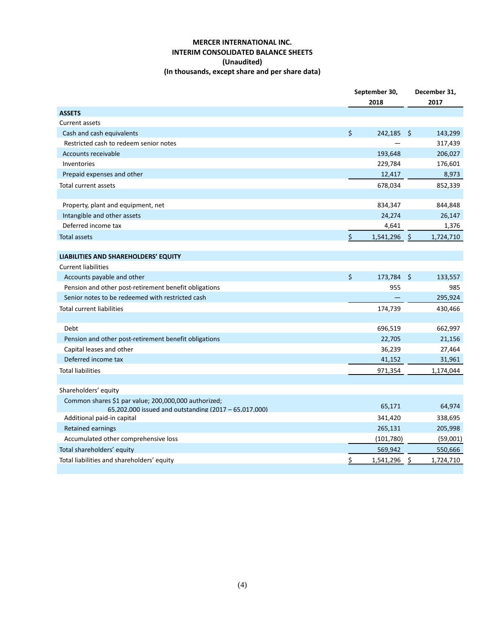## **MERCER INTERNATIONAL INC. INTERIM CONSOLIDATED BALANCE SHEETS (Unaudited) (In thousands, except share and per share data)**

|                                                                                                               | September 30,<br>2018 |            |               | December 31,<br>2017 |
|---------------------------------------------------------------------------------------------------------------|-----------------------|------------|---------------|----------------------|
|                                                                                                               |                       |            |               |                      |
| <b>ASSETS</b><br><b>Current assets</b>                                                                        |                       |            |               |                      |
| Cash and cash equivalents                                                                                     | \$                    | 242,185    | - \$          | 143,299              |
| Restricted cash to redeem senior notes                                                                        |                       |            |               | 317,439              |
| <b>Accounts receivable</b>                                                                                    |                       | 193,648    |               | 206,027              |
| Inventories                                                                                                   |                       | 229,784    |               | 176,601              |
| Prepaid expenses and other                                                                                    |                       | 12,417     |               | 8,973                |
| Total current assets                                                                                          |                       | 678,034    |               | 852,339              |
|                                                                                                               |                       |            |               |                      |
| Property, plant and equipment, net                                                                            |                       | 834,347    |               | 844,848              |
| Intangible and other assets                                                                                   |                       | 24,274     |               | 26,147               |
| Deferred income tax                                                                                           |                       | 4,641      |               | 1,376                |
| <b>Total assets</b>                                                                                           | \$                    | 1,541,296  | $\frac{1}{2}$ | 1,724,710            |
|                                                                                                               |                       |            |               |                      |
| LIABILITIES AND SHAREHOLDERS' EQUITY                                                                          |                       |            |               |                      |
| <b>Current liabilities</b>                                                                                    |                       |            |               |                      |
| Accounts payable and other                                                                                    | \$                    | 173,784 \$ |               | 133,557              |
| Pension and other post-retirement benefit obligations                                                         |                       | 955        |               | 985                  |
| Senior notes to be redeemed with restricted cash                                                              |                       |            |               | 295,924              |
| <b>Total current liabilities</b>                                                                              |                       | 174,739    |               | 430,466              |
|                                                                                                               |                       |            |               |                      |
| Debt                                                                                                          |                       | 696,519    |               | 662,997              |
| Pension and other post-retirement benefit obligations                                                         |                       | 22,705     |               | 21,156               |
| Capital leases and other                                                                                      |                       | 36,239     |               | 27,464               |
| Deferred income tax                                                                                           |                       | 41,152     |               | 31,961               |
| <b>Total liabilities</b>                                                                                      |                       | 971,354    |               | 1,174,044            |
|                                                                                                               |                       |            |               |                      |
| Shareholders' equity                                                                                          |                       |            |               |                      |
| Common shares \$1 par value; 200,000,000 authorized;<br>65,202,000 issued and outstanding (2017 - 65,017,000) |                       | 65,171     |               | 64,974               |
| Additional paid-in capital                                                                                    |                       | 341,420    |               | 338,695              |
| Retained earnings                                                                                             |                       | 265,131    |               | 205,998              |
| Accumulated other comprehensive loss                                                                          |                       | (101, 780) |               | (59,001)             |
| Total shareholders' equity                                                                                    |                       | 569,942    |               | 550,666              |
| Total liabilities and shareholders' equity                                                                    | \$                    | 1,541,296  | \$            | 1,724,710            |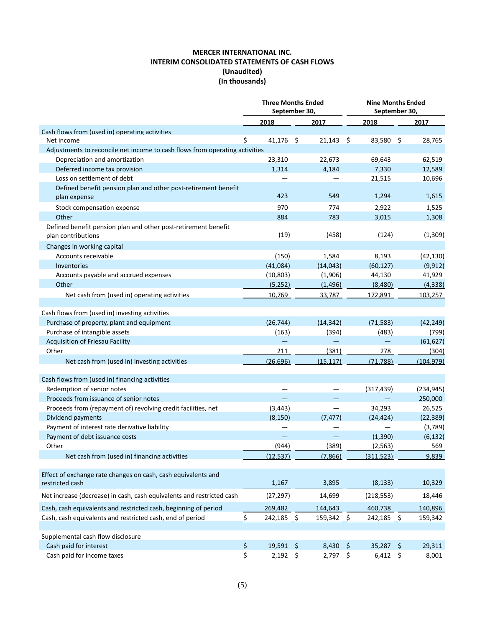# **MERCER INTERNATIONAL INC. INTERIM CONSOLIDATED STATEMENTS OF CASH FLOWS (Unaudited) (In thousands)**

|                                                                             | <b>Three Months Ended</b><br>September 30, |            |               |           | <b>Nine Months Ended</b><br>September 30, |            |      |            |
|-----------------------------------------------------------------------------|--------------------------------------------|------------|---------------|-----------|-------------------------------------------|------------|------|------------|
|                                                                             | 2018                                       |            |               | 2017      |                                           | 2018       |      | 2017       |
| Cash flows from (used in) operating activities                              |                                            |            |               |           |                                           |            |      |            |
| Net income                                                                  | \$<br>41,176                               |            | $\varsigma$   | 21,143    | - \$                                      | 83,580 \$  |      | 28,765     |
| Adjustments to reconcile net income to cash flows from operating activities |                                            |            |               |           |                                           |            |      |            |
| Depreciation and amortization                                               | 23,310                                     |            |               | 22,673    |                                           | 69,643     |      | 62,519     |
| Deferred income tax provision                                               | 1,314                                      |            |               | 4,184     |                                           | 7,330      |      | 12,589     |
| Loss on settlement of debt                                                  |                                            |            |               |           |                                           | 21,515     |      | 10,696     |
| Defined benefit pension plan and other post-retirement benefit              |                                            |            |               |           |                                           |            |      |            |
| plan expense                                                                | 423                                        |            |               | 549       |                                           | 1,294      |      | 1,615      |
| Stock compensation expense                                                  |                                            | 970        |               | 774       |                                           | 2,922      |      | 1,525      |
| Other                                                                       | 884                                        |            |               | 783       |                                           | 3,015      |      | 1,308      |
| Defined benefit pension plan and other post-retirement benefit              |                                            |            |               |           |                                           |            |      |            |
| plan contributions                                                          |                                            | (19)       |               | (458)     |                                           | (124)      |      | (1, 309)   |
| Changes in working capital                                                  |                                            |            |               |           |                                           |            |      |            |
| Accounts receivable                                                         | (150)                                      |            |               | 1,584     |                                           | 8,193      |      | (42, 130)  |
| Inventories                                                                 | (41,084)                                   |            |               | (14, 043) |                                           | (60, 127)  |      | (9, 912)   |
| Accounts payable and accrued expenses                                       | (10, 803)                                  |            |               | (1,906)   |                                           | 44,130     |      | 41,929     |
| Other                                                                       | (5,252)                                    |            |               | (1, 496)  |                                           | (8,480)    |      | (4, 338)   |
| Net cash from (used in) operating activities                                | 10,769                                     |            |               | 33,787    |                                           | 172,891    |      | 103,257    |
|                                                                             |                                            |            |               |           |                                           |            |      |            |
| Cash flows from (used in) investing activities                              |                                            |            |               |           |                                           |            |      |            |
| Purchase of property, plant and equipment                                   | (26, 744)                                  |            |               | (14, 342) |                                           | (71, 583)  |      | (42, 249)  |
| Purchase of intangible assets                                               | (163)                                      |            |               | (394)     |                                           | (483)      |      | (799)      |
| Acquisition of Friesau Facility                                             |                                            |            |               |           |                                           |            |      | (61, 627)  |
| Other                                                                       | 211                                        |            |               | (381)     |                                           | 278        |      | (304)      |
| Net cash from (used in) investing activities                                | (26, 696)                                  |            |               | (15, 117) |                                           | (71, 788)  |      | (104, 979) |
|                                                                             |                                            |            |               |           |                                           |            |      |            |
| Cash flows from (used in) financing activities                              |                                            |            |               |           |                                           |            |      |            |
| Redemption of senior notes                                                  |                                            |            |               |           |                                           | (317, 439) |      | (234, 945) |
| Proceeds from issuance of senior notes                                      |                                            |            |               |           |                                           |            |      | 250,000    |
| Proceeds from (repayment of) revolving credit facilities, net               | (3, 443)                                   |            |               |           |                                           | 34,293     |      | 26,525     |
| Dividend payments                                                           | (8, 150)                                   |            |               | (7, 477)  |                                           | (24, 424)  |      | (22, 389)  |
| Payment of interest rate derivative liability                               |                                            |            |               |           |                                           |            |      | (3,789)    |
| Payment of debt issuance costs                                              |                                            |            |               |           |                                           | (1,390)    |      | (6, 132)   |
| Other                                                                       | (944)                                      |            |               | (389)     |                                           | (2, 563)   |      | 569        |
| Net cash from (used in) financing activities                                | (12, 537)                                  |            |               | (7,866)   |                                           | (311,523)  |      | 9,839      |
|                                                                             |                                            |            |               |           |                                           |            |      |            |
| Effect of exchange rate changes on cash, cash equivalents and               |                                            |            |               |           |                                           |            |      |            |
| restricted cash                                                             | 1,167                                      |            |               | 3,895     |                                           | (8, 133)   |      | 10,329     |
| Net increase (decrease) in cash, cash equivalents and restricted cash       | (27, 297)                                  |            |               | 14,699    |                                           | (218, 553) |      | 18,446     |
| Cash, cash equivalents and restricted cash, beginning of period             | 269,482                                    |            |               | 144,643   |                                           | 460,738    |      | 140,896    |
| Cash, cash equivalents and restricted cash, end of period                   | \$<br>242,185                              |            | $\frac{1}{2}$ | 159,342   | \$                                        | 242,185    | \$   | 159,342    |
|                                                                             |                                            |            |               |           |                                           |            |      |            |
| Supplemental cash flow disclosure                                           |                                            |            |               |           |                                           |            |      |            |
| Cash paid for interest                                                      | \$<br>19,591                               |            | $\zeta$       | 8,430     | $\ddot{\varsigma}$                        | 35,287     | - \$ | 29,311     |
| Cash paid for income taxes                                                  | \$                                         | $2,192$ \$ |               | 2,797 \$  |                                           | $6,412$ \$ |      | 8,001      |